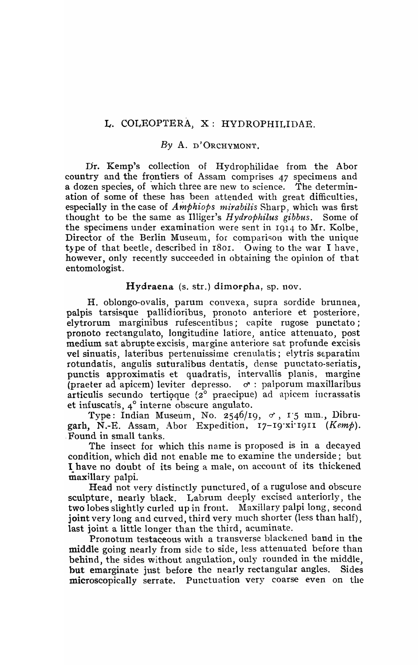# L. COLEOPTERA, X: HYDROPHILIDAE.

### By A. D'ORCHYMONT.

Dr. Kemp's collection of Hydrophilidae from the Abor country and the frontiers of Assam comprises 47 specimens and a dozen species, of which three are new to science. The determina dozen species, of which three are new to science. ation of some of these has been attended with great difficulties, especially in the case of *Amphiops mirabilis* Sharp, which was first thought to be the same as Illiger's *H ydrophilus gibbus.* Some of the specimens under examination were sent in I914 to Mr. Kolbe, Director of the Berlin Museum, for comparison with the unique type of that beetle, described in  $1801$ . Owing to the war I have, however, only recently succeeded in obtaining the opinion of that entomologist.

## Hydraena (s. str.) dimorpha, sp. nov.

H. oblongo-ovalis, parum convexa, supra sordide brunnea, palpis tarsisque pallidioribus, pronoto anteriore et posteriore, elytrorum marginibus rufescentibus; capite rugose punctato; pronoto rectangulato, longitudine latiore, antice attenuato, post medium sat abrupte excisis, margine anteriore sat profunde excisis vel sinuatis, lateribus pertenuissime crenulatis; elytris separatim rotundatis, angulis suturalibus dentatis, dense punctato-seriatis, punctis approximatis et quadratis, intervallis planis, margine (praeter ad apicem) leviter depresso.  $\sigma$ : palporum maxillaribus articulis secundo tertioque ( $2^{\circ}$  praecipue) ad apicem incrassatis et infuscatis, 4° interne obscure angulato.

Type: Indian Museum, No. 2546/19,  $\sigma$ , 1'5 mm., Dibrugarh, N.-E. Assam, Abor Expedition, 17-19 xi 1911 (Kemp). ,Found in small tanks.

The insect for which this name is proposed is in a decayed condition, which did not enable me to examine the underside; but 1 have no doubt of its being a male, on account of its thickened maxillary palpi.

Head not very distinctly punctured, of a rugulose and obscure sculpture, nearly black. Labrum deeply excised anteriorly, the two lobes slightly curled up in front. Maxillary palpi long, second joint very long and curved, third very much shorter (less than half), last joint a little longer than the third, acuminate.

Pronottun testaceous with a transverse blackened band in the middle going nearly from side to side, less attenuated before than behind, the sides without angulation, only rounded in the middle, but emarginate just before the nearly rectangular angles. Sides microscopically serrate. Punctuation very coarse even on the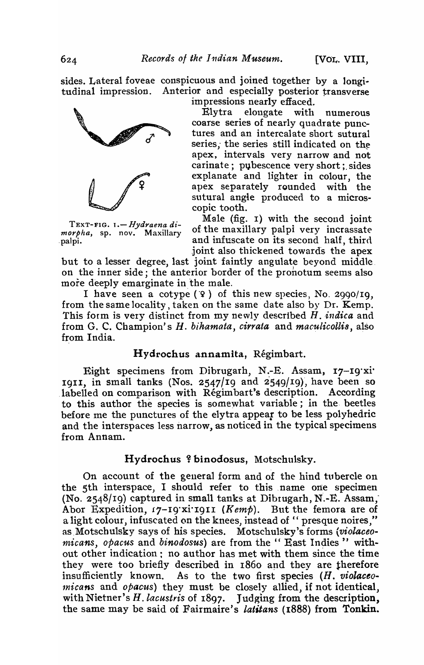sides. Lateral foveae conspicuous and joined together by a longitudinal impression. Anterior and especially posterior transverse im pressions nearly effaced.



Elytra elongate with numerous coarse series of nearly quadrate punctures and an intercalate short sutural series; the series still indicated on the apex, intervals very narrow and not carinate; pubescence very short; sides explanate and lighter in colour, the apex separately rounded with the sutural angie produced to a microscopic tooth.

Male (fig. 1) with the second joint<br> *morpha*, sp. nov. Maxillary of the maxillary palpi very incrassate of the maxillary palpi very incrassate palpi. **palpi.** and infuscate on its second half, third .joint also thickened towards the apex

but to a lesser degree, last joint faintly angulate beyond middle, on the inner side; the anterior border of the pronotum seems also more deeply emarginate in the male.

I have seen a cotype  $(9)$  of this new species, No. 2990/I9, from the same locality, taken on the same date also by Dr. Kemp. This form is very distinct from my newly described *H. indica* and from G. C. Champion's *H. bihamata, cirrata* and *maculicollis*, also from India.

# Hydrochus annamita, Regimbart.

Eight specimens from Dibrugarh, N.-E. Assam, 17-19'xi' 1911, in small tanks (Nos. 2547/19 and 2549/19), have been so labelled on comparison with Régimbart's description. According to this author the species is somewhat variable; in the beetles before me the punctures of the elytra appear to be less polyhedric and the interspaces less narrow, as noticed in the typical specimens from Annam.

### Hydrochus ? binodosus, Motschulsky.

On account of the general form and of the hind tubercle on the 5th interspace, I should refer to this name one specimen (No. 2548/19) captured in small tanks at Dibtugarh, N'.-E. Assam; Abor Expedition, 17-19'xi'1911 (Kemp). But the femora are of a light colour, infuscated on the knees, instead of " presque noires," as Motschulsky says of his species. Motschulsky's forms *(violaceomicans, opacus and binodosus)* are from the " East Indies " without other indication: no author has met with them since the time they were too briefly described in 1860 and they are therefore insufficiently known. As to the two first species (H. violaceo $micans$  and  $opacus$ ) they must be closely allied, if not identical, with Nietner's *H. lacustris* of 1897. Judging from the description, the same may be said of Fairmaire's *latitans* (1888) from Tonkin.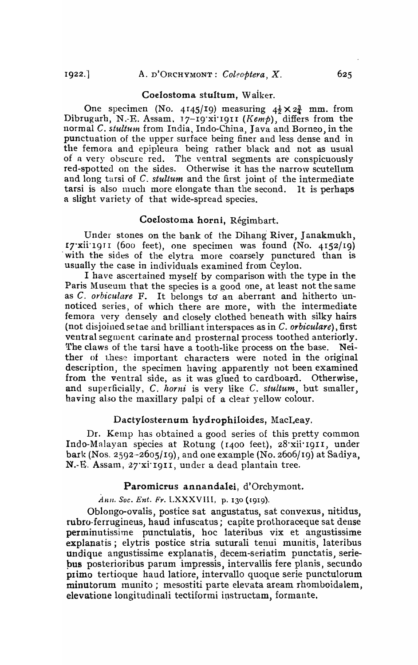#### Coelostoma stuItum, Waiker.

One specimen (No. 4145/19) measuring  $4\frac{1}{2} \times 2\frac{3}{4}$  mm. from Dibrugarh, N.-E. Assam, 17-19<sup>.</sup>xi<sup>1</sup>1911 (*Kemp*), differs from the normal C. *stultum* from India, Indo-China, Java and Borneo, in the punctuation of the upper surface being finer and less dense and in the femora and epipleura beipg rather black and not as usual of a very obscure red. The ventral segments are conspicuously red-spotted on the sides. Otherwise it has the narrow scutellum and long tarsi of C. *stultum* and the first joint of the intermediate tarsi is also much more elongate than the second. It is perhaps a slight variety of that wide-spread species.

### Coelostoma horni, Régimbart.

Under stones on the bank of the Dihang River, Janakmukh, 17 $\overline{x}$ ii<sup>1</sup>1911 (600 feet), one specimen was found (No. 4152/19) with the sides of the elytra more coarsely punctured than is usually the case in individuals examined from Ceylon.

I have ascertained myself by comparison with the type in the Paris Museum that the species is a good one, at least not the same as C. *orbiculare* F. It belongs to an aberrant and hitherto unnoticed series, of which there are more, with the intermediate femora very densely and closely clothed beneath with silky hairs (not disjoined setae and brilliant interspaces as in C. *orbiculare),* first ventral segment carinate and prosternal process toothed anteriorly. The claws of the tarsi have a tooth-like process on the base. Neither of these important characters were noted in the original description, the specimen having apparently not been examined from the ventral side, as it was glued to cardboard. Otherwise, and superficially, C. *horni* is very like C. *stultum*, but smaller, having also the maxillary palpi of a clear yellow colour.

### Dactylosternum hydrophiloides, MacLeay.

Dr. Kemp has obtained a good series of this pretty common Indo-Malayan species at Rotung (I400 feet), 28·xii· 191 I) under bark (Nos. 2592-2605/19), and one example (No. 2606/19) at Sadiya, N.-E. Assam, 27'xi'I9II, under a dead plantain tree.

#### Paromicrus annandalei, d'Orchymont.

Ann. Soc. Ent. Fr. LXXXVIII, p. 130 (1919).

Oblongo-ovalis, postice sat angustatus, sat convexus, nitidus, rubro-ferrugineus, haud infuscatus; capite prothoraceque sat dense perminutissime punctulatis, hoc lateribus vix et angustissime explanatis; elytris postice stria suturali tenui munitis, lateribus undique angustissime explanatis, decem-seriatim punctatis, seriebus posterioribus parum impressis, intervallis fere planis, secundo primo tertioque haud latiore, intervallo quoque serie punctulorum minutorum munito; mesostiti parte elevata aream rhomboidalem, elevatione longitudinali tectiformi instructam, formante.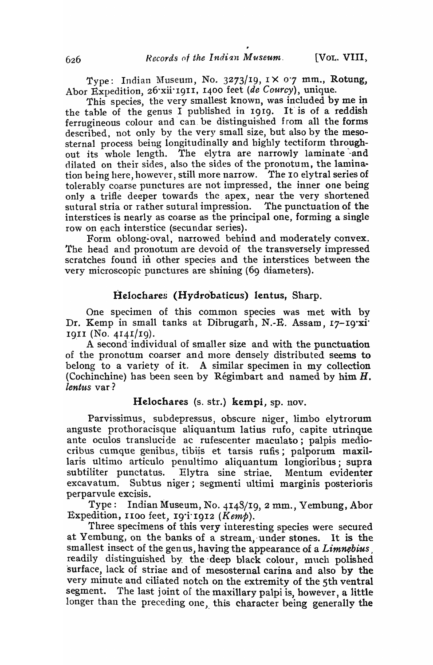Type: Indian Museum, No. 3273/19,  $1 \times 0.7$  mm., Rotung, Abor Expedition, 26'xii'1911, 1400 feet (de Courcy), unique.

This species, the very smallest known, was included by me in the table of the genus I published in 1919. It is of a reddish ferrugineous colour and' can. be distinguished from all the forms described, not only by the very small size, but also by the mesosternal process being longitudinally and highly tectiform throughout its whole length. The elytra are narrowly laminate and dilated on their sides, also the sides of the pronotum, the lamination being here, however, still more narrow. The 10 elytral series of tolerably coarse punctures are not impressed, the inner one being only a trifle deeper towards the. apex, near the very shortened sutural stria or rather sutural impression. The punctuation of the interstices is nearly as coarse as the principal one, forming a single row on each interstice (secundar series).

Form oblong-oval, narrowed behind and moderately convex. The head and pronotum are devoid of the transversely impressed scratches found in other species and the interstices between the very microscopic punctures are shining (69 diameters).

### Helochares (Hydrobaticus) lentus, Sharp.

One specimen of this common species was met with by Dr. Kemp in small tanks at Dibrugarh, N.-E. Assam, 17-19·xi· 1911 (No. 4I41/19).

A second individual of smaller size and with the punctuation of the pronotum coarser and more densely distributed seems to belong to a variety of it. A similar specimen in my collection (Cochinchine) has been seen by Régimbart and named by him  $H$ .  $lentus$  var?

### Helochares (s. str.) kempi, sp. nov.

Parvissimus, subdepressus, obscure niger, limbo elytrorum anguste prothoracisque aliquantum latius rufo, capite utrinque ante oeulos translucide ac rufescenter maculato; palpis mediocribus cumque genibus, tibiis et tarsis rufis; palporum maxillaris ultimo articulo penultimo aliquantum longioribus; supra subtiliter punctatus. Elytra sine striae. Mentum evidenter excavatum. Subtus niger; segmenti ultimi marginis posterioris perparvule excisis.

Type: Indian Museum, No. 4148/19,2 mm., Yembung, Abor Expedition, 1100 feet,  $19^{\prime}$ i 1912 (Kemp).

Three specimens of this very interesting species were secured at Yembung, on the banks of a stream, under stones. It is the smallest insect of the gen us, having the appearance of a *Limnebius,*  readily distinguished by the -deep black colour, much polished surface, lack of striae and of mesosternal carina and also by the very minute and ciliated notch on the extremity of the 5th ventral segment. The last joint of the maxillary palpi is, however, a little longer than the preceding one, this character being generally the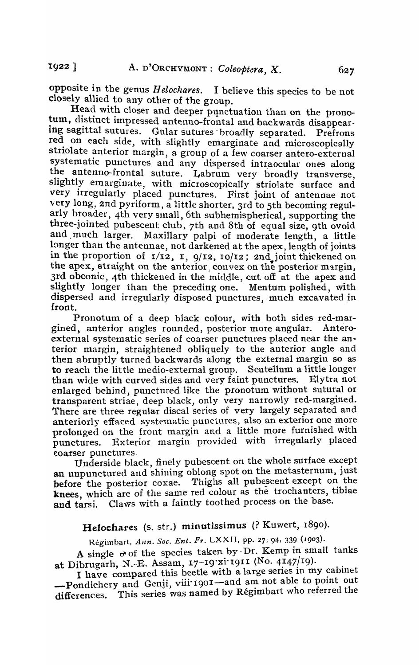opposite in the genus *H elochares.* I believe this species to be not closely allied to any other of the group.

Head with closer and deeper punctuation than on the pronotum, distinct impressed antenno-frontal and backwards disappearing sagittal sutures. Gular sutures broadly separated. Prefrons red on each side, with slightly emarginate and microscopically striolate anterior margin, a group of a few coarser antero-external systematic punctures and any dispersed intraocular ones along the antenno-frontal suture. Labrum very broadly transverse, slightly emarginate, with microscopically striolate surface and very irregularly placed punctures. First joint of antennae not ·very long, 2nd pyriform, a little shorter, 3rd to 5th becoming regularly broader, 4th very small, 6th subhemispherical, supporting the three-jointed pubescent club, 7th and 8th of equal size, 9th ovoid<br>and much larger. Maxillary palpi of moderate length, a little Maxillary palpi of moderate length, a little longer than the antennae, not darkened at the apex, length of joints in the proportion of  $I/I2$ ,  $I$ ,  $9/I2$ ,  $I0/I2$ ;  $2n\overline{d}$  joint thickened on the apex, straight on the anterior convex on the posterior margin, 3rd obconic., 4th thickened in the middle, cut off at the apex and slightly longer than the preceding one. Mentum polished, with dispersed and irregularly disposed punctures, much excavated in front.

Pronotum of a deep black colour, with both sides red-margined, anterior angles rounded, posterior more angular. Anteroexternal systematic series of coarser punctures placed near the anterior margin, straightened obliquely to the anterior angle and then abruptly turned backwards along the external margin so as to reach the little medio-external group. Scutellum a little longer than wide with curved sides and very faint punctures. Elytra not enlarged behind, punctured like the pronotum without sutural or transparent striae, deep black, only very narrowly red-margined. There are three regular discal series of very largely separated and anteriorly effaced systematic punctures, also an exterior one more prolonged on the front margin and a little more furnished with punctures. Exterior margin provided with irregularly placed coarser punctures

Underside black, finely pubescent on the whole surface except an unpunctured and shining oblong spot on the metasternum, just before the posterior coxae. Thighs all pubescent except on the knees, which are of the same red colour as the trochanters, tibiae and tarsi. Claws with a faintly toothed process on the base.

Helochares (s. str.) minutissimus (? Kuwert, r890).

Régimbart, Ann. Soc. Ent. Fr. LXXII, pp. 27; 94, 339 (1903).

A single  $\sigma$  of the species taken by Dr. Kemp in small tanks at Dibrugarh, N.-E. Assam, 17-19 xi 1911 (No. 4147/19).

I have compared this beetle with a large series in my cabinet -Pondichery and Genji, viii 1901—and am not able to point out differences. This series was named by Régimbart who referred the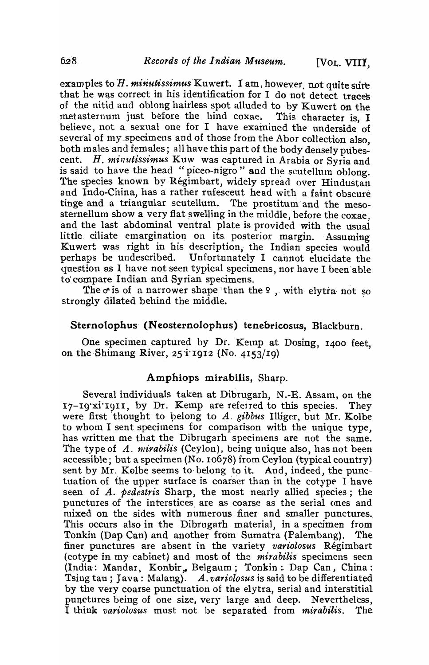examples to H. minutissimus Kuwert. I am, however, not quite sure that he was correct in his identification for I do not detect traces of the nitid and oblong hairless spot alluded to by Kuwert on the metasternum just before the hind coxae. This character is, I believe, not a sexual one for I have examined the underside of several of my specimens and of those from the Abor collection also, both males and females; all have this part of the body densely pubescent. H. *minutissimus* Kuw was captured in Arabia or Syria and is said to have the head "piceo-nigro" and the scutellum oblong. The species known by Régimbart, widely spread over Hindustan and Indo-China, has a rather rufesceut head with a faint obscure tinge and a triangular scutellum. The prostitum and the mesosternellum show a very flat swelling in the middle, before the coxae. and the last abdominal ventral plate is provided with the usual little ciliate emargination on its posterior margin. Assuming Kuwert was right in his description, the Indian species would perhaps be undescribed. Unfortunately I cannot elucidate the question as I have not seen typical specimens, nor have I been'able to' compare Indian and Syrian specimens.

The  $\sigma$  is of a narrower shape than the  $9$ , with elytra not so strongly dilated behind the middle.

## Sternolophus (Neosternolophus) tenebricosus, Blackburn.

One specimen captured by Dr. Kemp at Dosing, 1400 feet. on the Shimang River,  $25$  i'1912 (No. 4153/19)

### Amphiops mirabilis, Sharp.

Several individuals taken at Dibrugarh, N.-E. Assam, on the  $17-19$ xi<sup>t</sup>I9II, by Dr. Kemp are referred to this species. They were first thought to belong to A. gibbus Illiger, but Mr. Kolbe to whom I sent specimens for comparison with the unique type, has written me that the Dibrugarh specimens are not the same. The type of *A. mirabilis* (Ceylon), being unique also, has not been accessible; but a specimen (No. 10678) from Ceylon (typical country) sent by Mr. Kolbe seems to belong to it. And, indeed, the punctuation of the upper surface is coarser than in the cotype I have seen of A. *pedestris* Sharp, the most nearly allied species; the punctures of the interstices are as coarse as the serial ones and mixed on the sides with numerous finer and smaller punctures. This occurs also in the Dibrugarh material, in a specimen from Tonkin (Dap Can) and another from Sumatra (Palembang). The finer punctures are absent in the variety *variolosus* Regimbart (cotype in my~ cabinet) and most of the *mirabilis* specimens seen (India: Mandar, Konbir,, Belgaum; Tonkin: Dap Can, China: Tsing tau; Java: Malang). A. *variolosus* is said to be diffeten tiated by the very coarse punctuation of the elytra, serial and interstitial punctures being of one size, very large and deep. Nevertheless, I think *variolosus* must not be separated from *mirabilis*. The